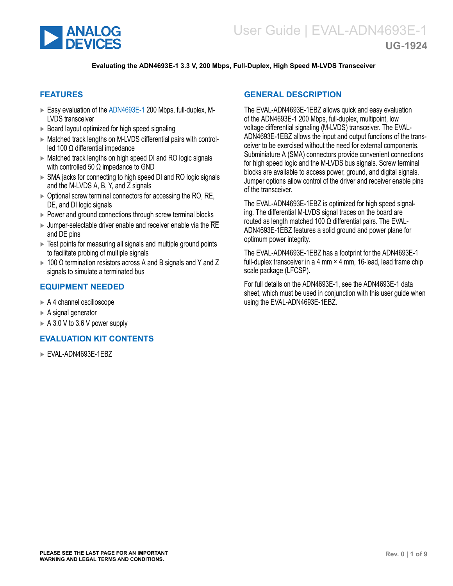<span id="page-0-0"></span>

### **Evaluating the ADN4693E-1 3.3 V, 200 Mbps, Full-Duplex, High Speed M-LVDS Transceiver**

### **FEATURES**

- ► Easy evaluation of the [ADN4693E-1](https://www.analog.com/ADN4693E-1) 200 Mbps, full-duplex, M-LVDS transceiver
- ► Board layout optimized for high speed signaling
- ► Matched track lengths on M-LVDS differential pairs with controlled 100 Ω differential impedance
- ► Matched track lengths on high speed DI and RO logic signals with controlled 50 Ω impedance to GND
- ► SMA jacks for connecting to high speed DI and RO logic signals and the M-LVDS A, B, Y, and Z signals
- $\triangleright$  Optional screw terminal connectors for accessing the RO,  $\overline{\text{RE}}$ , DE, and DI logic signals
- ► Power and ground connections through screw terminal blocks
- $\blacktriangleright$  Jumper-selectable driver enable and receiver enable via the  $\overline{\sf RE}$ and DE pins
- ► Test points for measuring all signals and multiple ground points to facilitate probing of multiple signals
- $\triangleright$  100  $\Omega$  termination resistors across A and B signals and Y and Z signals to simulate a terminated bus

### **EQUIPMENT NEEDED**

- ► A 4 channel oscilloscope
- ► A signal generator
- $\triangleright$  A 3.0 V to 3.6 V power supply

### **EVALUATION KIT CONTENTS**

► EVAL-ADN4693E-1EBZ

### **GENERAL DESCRIPTION**

The EVAL-ADN4693E-1EBZ allows quick and easy evaluation of the ADN4693E-1 200 Mbps, full-duplex, multipoint, low voltage differential signaling (M-LVDS) transceiver. The EVAL-ADN4693E-1EBZ allows the input and output functions of the transceiver to be exercised without the need for external components. Subminiature A (SMA) connectors provide convenient connections for high speed logic and the M-LVDS bus signals. Screw terminal blocks are available to access power, ground, and digital signals. Jumper options allow control of the driver and receiver enable pins of the transceiver.

The EVAL-ADN4693E-1EBZ is optimized for high speed signaling. The differential M-LVDS signal traces on the board are routed as length matched 100  $\Omega$  differential pairs. The EVAL-ADN4693E-1EBZ features a solid ground and power plane for optimum power integrity.

The EVAL-ADN4693E-1EBZ has a footprint for the ADN4693E-1 full-duplex transceiver in a 4 mm × 4 mm, 16-lead, lead frame chip scale package (LFCSP).

For full details on the ADN4693E-1, see the ADN4693E-1 data sheet, which must be used in conjunction with this user guide when using the EVAL-ADN4693E-1EBZ.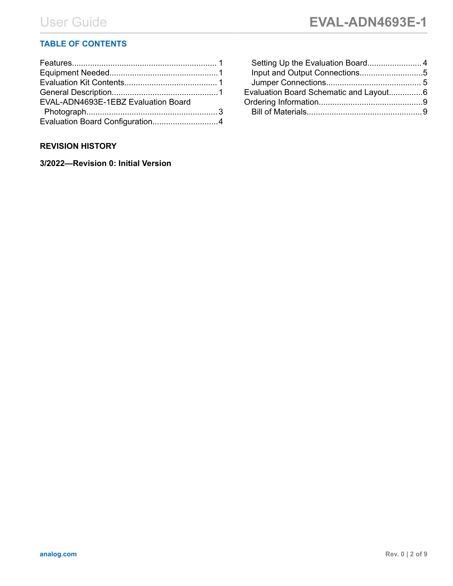# **TABLE OF CONTENTS**

| EVAL-ADN4693E-1EBZ Evaluation Board |  |
|-------------------------------------|--|
|                                     |  |
|                                     |  |

## **REVISION HISTORY**

**3/2022—Revision 0: Initial Version**

| Evaluation Board Schematic and Layout6 |  |
|----------------------------------------|--|
|                                        |  |
|                                        |  |
|                                        |  |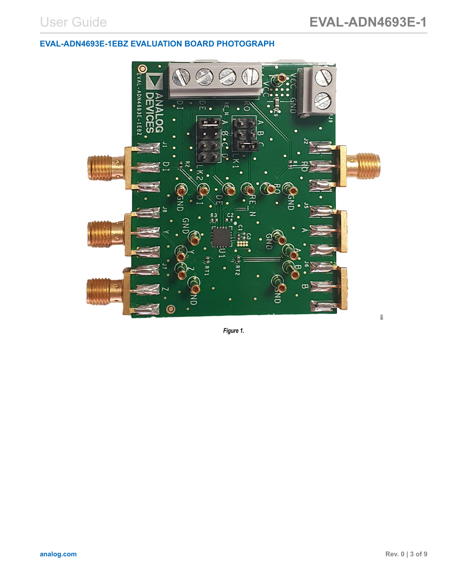# <span id="page-2-0"></span>**EVAL-ADN4693E-1EBZ EVALUATION BOARD PHOTOGRAPH**



*Figure 1.*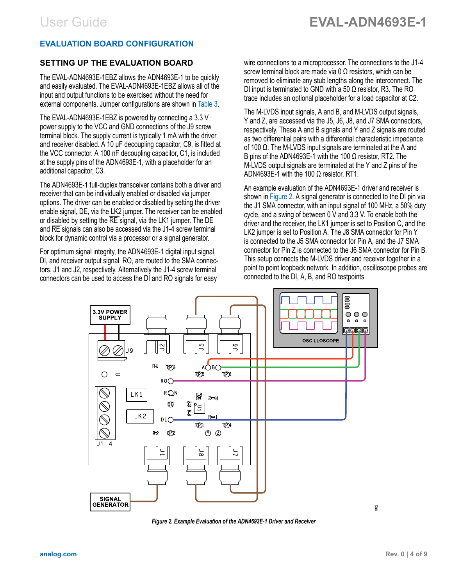## <span id="page-3-0"></span>**EVALUATION BOARD CONFIGURATION**

# **SETTING UP THE EVALUATION BOARD**

The EVAL-ADN4693E-1EBZ allows the ADN4693E-1 to be quickly and easily evaluated. The EVAL-ADN4693E-1EBZ allows all of the input and output functions to be exercised without the need for external components. Jumper configurations are shown in [Table 3](#page-4-0).

The EVAL-ADN4693E-1EBZ is powered by connecting a 3.3 V power supply to the VCC and GND connections of the J9 screw terminal block. The supply current is typically 1 mA with the driver and receiver disabled. A 10 μF decoupling capacitor, C9, is fitted at the VCC connector. A 100 nF decoupling capacitor, C1, is included at the supply pins of the ADN4693E-1, with a placeholder for an additional capacitor, C3.

The ADN4693E-1 full-duplex transceiver contains both a driver and receiver that can be individually enabled or disabled via jumper options. The driver can be enabled or disabled by setting the driver enable signal, DE, via the LK2 jumper. The receiver can be enabled or disabled by setting the RE signal, via the LK1 jumper. The DE and RE signals can also be accessed via the J1-4 screw terminal block for dynamic control via a processor or a signal generator.

For optimum signal integrity, the ADN4693E-1 digital input signal, DI, and receiver output signal, RO, are routed to the SMA connectors, J1 and J2, respectively. Alternatively the J1-4 screw terminal connectors can be used to access the DI and RO signals for easy

wire connections to a microprocessor. The connections to the J1-4 screw terminal block are made via 0  $\Omega$  resistors, which can be removed to eliminate any stub lengths along the interconnect. The DI input is terminated to GND with a 50 Ω resistor, R3. The RO trace includes an optional placeholder for a load capacitor at C2.

The M-LVDS input signals, A and B, and M-LVDS output signals, Y and Z, are accessed via the J5, J6, J8, and J7 SMA connectors, respectively. These A and B signals and Y and Z signals are routed as two differential pairs with a differential characteristic impedance of 100 Ω. The M-LVDS input signals are terminated at the A and B pins of the ADN4693E-1 with the 100  $\Omega$  resistor, RT2. The M-LVDS output signals are terminated at the Y and Z pins of the ADN4693E-1 with the 100  $\Omega$  resistor, RT1.

An example evaluation of the ADN4693E-1 driver and receiver is shown in Figure 2. A signal generator is connected to the DI pin via the J1 SMA connector, with an input signal of 100 MHz, a 50% duty cycle, and a swing of between 0 V and 3.3 V. To enable both the driver and the receiver, the LK1 jumper is set to Position C, and the LK2 jumper is set to Position A. The J8 SMA connector for Pin Y is connected to the J5 SMA connector for Pin A, and the J7 SMA connector for Pin Z is connected to the J6 SMA connector for Pin B. This setup connects the M-LVDS driver and receiver together in a point to point loopback network. In addition, oscilloscope probes are connected to the DI, A, B, and RO testpoints.



*Figure 2. Example Evaluation of the ADN4693E-1 Driver and Receiver*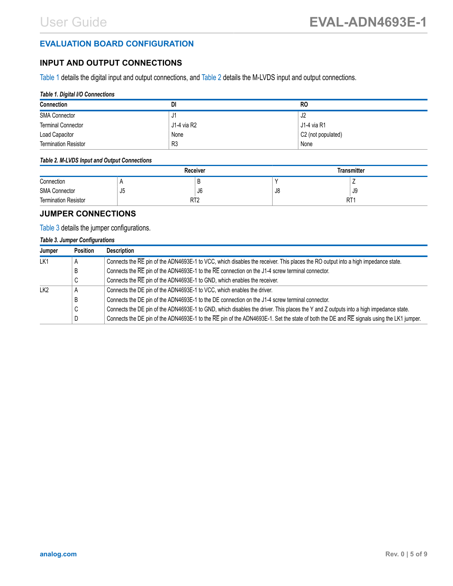## <span id="page-4-0"></span>**EVALUATION BOARD CONFIGURATION**

## **INPUT AND OUTPUT CONNECTIONS**

Table 1 details the digital input and output connections, and Table 2 details the M-LVDS input and output connections.

### *Table 1. Digital I/O Connections*

| <b>Connection</b>           | DI             | <b>RO</b>          |
|-----------------------------|----------------|--------------------|
| <b>SMA Connector</b>        | υı             | J2                 |
| <b>Terminal Connector</b>   | J1-4 via R2    | J1-4 via R1        |
| Load Capacitor              | None           | C2 (not populated) |
| <b>Termination Resistor</b> | R <sub>3</sub> | None               |

### *Table 2. M-LVDS Input and Output Connections*

|                             | <b>Receiver</b> |    | <b>Transmitter</b> |    |
|-----------------------------|-----------------|----|--------------------|----|
| Connection                  |                 |    |                    |    |
| <b>SMA Connector</b>        | J <sub>5</sub>  | J0 | J8                 | ึง |
| <b>Termination Resistor</b> | RT2             |    | RT'                |    |

## **JUMPER CONNECTIONS**

### Table 3 details the jumper configurations.

### *Table 3. Jumper Configurations*

| Jumper          | <b>Position</b> | <b>Description</b>                                                                                                                       |  |
|-----------------|-----------------|------------------------------------------------------------------------------------------------------------------------------------------|--|
| LK1             | A               | Connects the RE pin of the ADN4693E-1 to VCC, which disables the receiver. This places the RO output into a high impedance state.        |  |
|                 | B               | Connects the RE pin of the ADN4693E-1 to the RE connection on the J1-4 screw terminal connector.                                         |  |
|                 | $\sim$<br>◡     | Connects the RE pin of the ADN4693E-1 to GND, which enables the receiver.                                                                |  |
| LK <sub>2</sub> | A               | Connects the DE pin of the ADN4693E-1 to VCC, which enables the driver.                                                                  |  |
|                 | В               | Connects the DE pin of the ADN4693E-1 to the DE connection on the J1-4 screw terminal connector.                                         |  |
|                 | С               | Connects the DE pin of the ADN4693E-1 to GND, which disables the driver. This places the Y and Z outputs into a high impedance state.    |  |
|                 | D               | Connects the DE pin of the ADN4693E-1 to the RE pin of the ADN4693E-1. Set the state of both the DE and RE signals using the LK1 jumper. |  |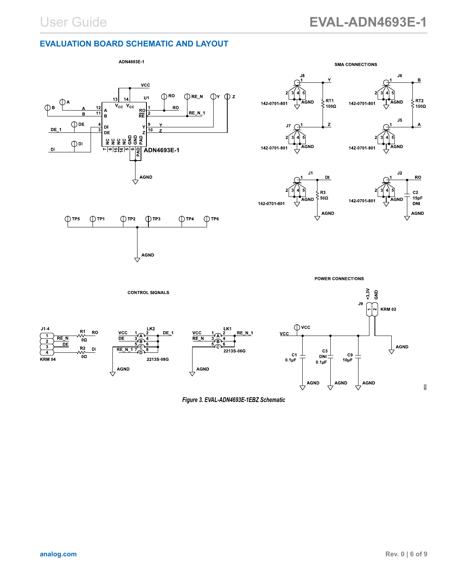## <span id="page-5-0"></span>**EVALUATION BOARD SCHEMATIC AND LAYOUT**



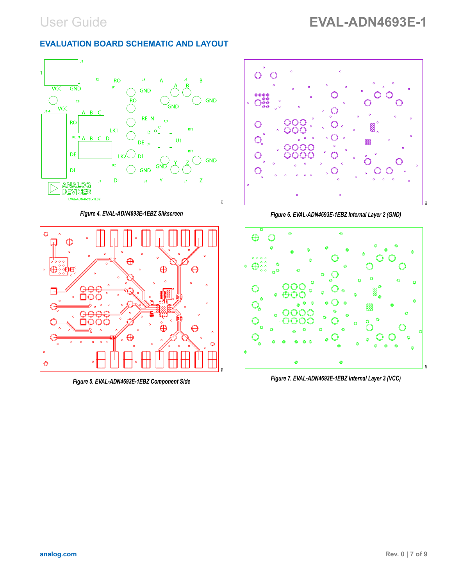## **EVALUATION BOARD SCHEMATIC AND LAYOUT**



*Figure 4. EVAL-ADN4693E-1EBZ Silkscreen*



*Figure 5. EVAL-ADN4693E-1EBZ Component Side*



*Figure 6. EVAL-ADN4693E-1EBZ Internal Layer 2 (GND)*



*Figure 7. EVAL-ADN4693E-1EBZ Internal Layer 3 (VCC)*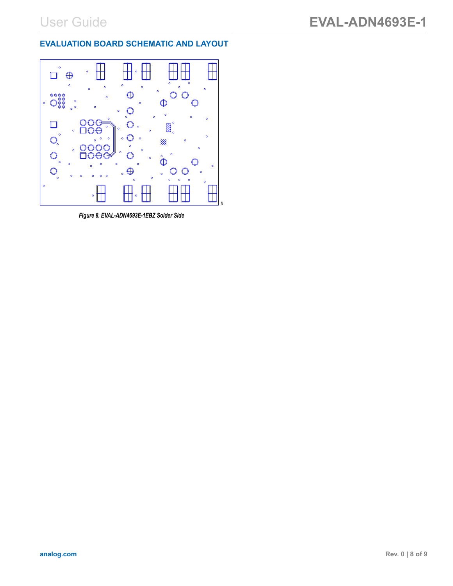# **EVALUATION BOARD SCHEMATIC AND LAYOUT**



*Figure 8. EVAL-ADN4693E-1EBZ Solder Side*